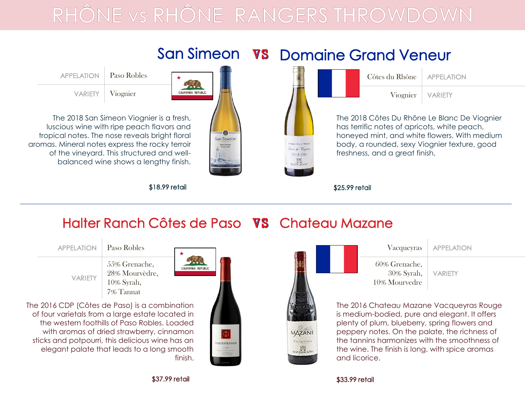## RHÔNE VS RHÔNE RANGERS THROWDOV



Halter Ranch Côtes de Paso VS Chateau Mazane





\$37.99 retail \$33.99 retail

finish.